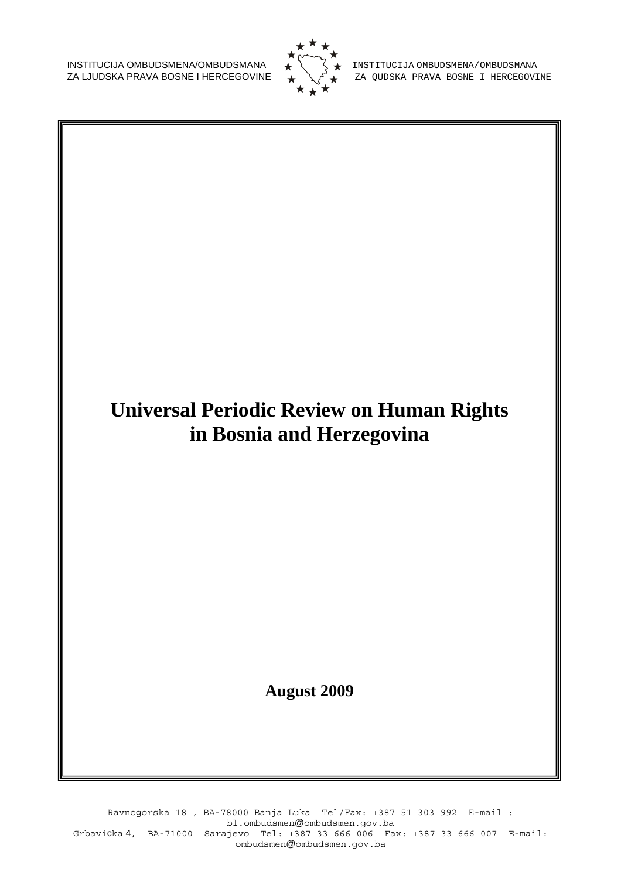INSTITUCIJA OMBUDSMENA/OMBUDSMANA  $\begin{matrix} 1 & 2 \ 1 & 3 \end{matrix}$  INSTITUCIJA OMBUDSMENA/OMBUDSMANA ZA LJUDSKA PRAVA BOSNE I HERCEGOVI



ZA LJUDSKA PRAVA BOSNE I HERCEGOVINE ZA QUDSKA PRAVA BOSNE I HERCEGOVINE

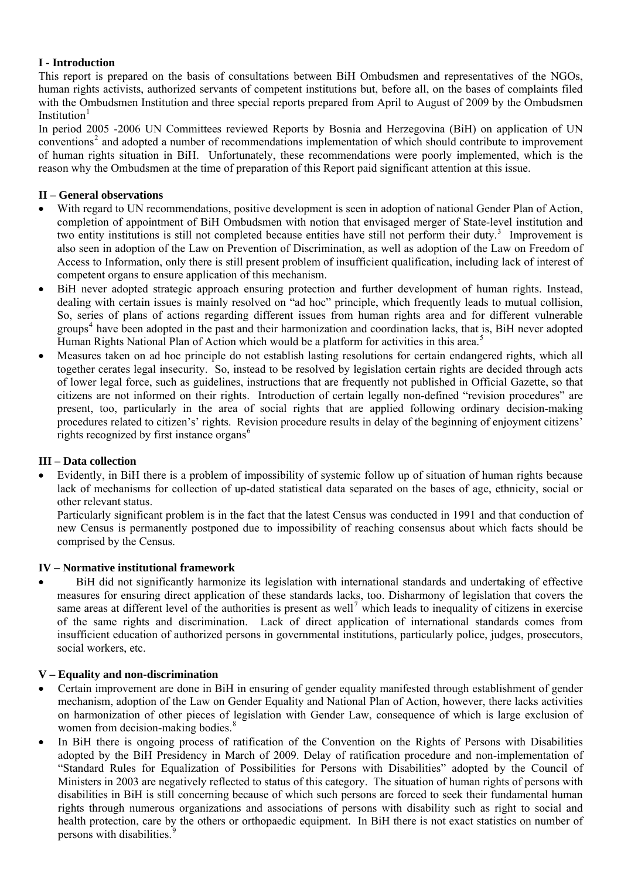# **I - Introduction**

This report is prepared on the basis of consultations between BiH Ombudsmen and representatives of the NGOs, human rights activists, authorized servants of competent institutions but, before all, on the bases of complaints filed with the Ombudsmen Institution and three special reports prepared from April to August of 2009 by the Ombudsmen Institution<sup>[1](#page-7-0)</sup>

In period 2005 -2006 UN Committees reviewed Reports by Bosnia and Herzegovina (BiH) on application of UN conventions<sup>[2](#page-7-1)</sup> and adopted a number of recommendations implementation of which should contribute to improvement of human rights situation in BiH. Unfortunately, these recommendations were poorly implemented, which is the reason why the Ombudsmen at the time of preparation of this Report paid significant attention at this issue.

# **II – General observations**

- With regard to UN recommendations, positive development is seen in adoption of national Gender Plan of Action, completion of appointment of BiH Ombudsmen with notion that envisaged merger of State-level institution and two entity institutions is still not completed because entities have still not perform their duty.<sup>[3](#page-7-1)</sup> Improvement is also seen in adoption of the Law on Prevention of Discrimination, as well as adoption of the Law on Freedom of Access to Information, only there is still present problem of insufficient qualification, including lack of interest of competent organs to ensure application of this mechanism.
- BiH never adopted strategic approach ensuring protection and further development of human rights. Instead, dealing with certain issues is mainly resolved on "ad hoc" principle, which frequently leads to mutual collision, So, series of plans of actions regarding different issues from human rights area and for different vulnerable groups<sup>[4](#page-7-1)</sup> have been adopted in the past and their harmonization and coordination lacks, that is, BiH never adopted Human Rights National Plan of Action which would be a platform for activities in this area.<sup>[5](#page-7-1)</sup>
- Measures taken on ad hoc principle do not establish lasting resolutions for certain endangered rights, which all together cerates legal insecurity. So, instead to be resolved by legislation certain rights are decided through acts of lower legal force, such as guidelines, instructions that are frequently not published in Official Gazette, so that citizens are not informed on their rights. Introduction of certain legally non-defined "revision procedures" are present, too, particularly in the area of social rights that are applied following ordinary decision-making procedures related to citizen's' rights. Revision procedure results in delay of the beginning of enjoyment citizens' rights recognized by first instance organs<sup>[6](#page-7-1)</sup>

# **III – Data collection**

• Evidently, in BiH there is a problem of impossibility of systemic follow up of situation of human rights because lack of mechanisms for collection of up-dated statistical data separated on the bases of age, ethnicity, social or other relevant status.

Particularly significant problem is in the fact that the latest Census was conducted in 1991 and that conduction of new Census is permanently postponed due to impossibility of reaching consensus about which facts should be comprised by the Census.

# **IV – Normative institutional framework**

• BiH did not significantly harmonize its legislation with international standards and undertaking of effective measures for ensuring direct application of these standards lacks, too. Disharmony of legislation that covers the same areas at different level of the authorities is present as well<sup>[7](#page-7-1)</sup> which leads to inequality of citizens in exercise of the same rights and discrimination. Lack of direct application of international standards comes from insufficient education of authorized persons in governmental institutions, particularly police, judges, prosecutors, social workers, etc.

# **V – Equality and non-discrimination**

- Certain improvement are done in BiH in ensuring of gender equality manifested through establishment of gender mechanism, adoption of the Law on Gender Equality and National Plan of Action, however, there lacks activities on harmonization of other pieces of legislation with Gender Law, consequence of which is large exclusion of women from decision-making bodies.<sup>[8](#page-7-1)</sup>
- In BiH there is ongoing process of ratification of the Convention on the Rights of Persons with Disabilities adopted by the BiH Presidency in March of 2009. Delay of ratification procedure and non-implementation of "Standard Rules for Equalization of Possibilities for Persons with Disabilities" adopted by the Council of Ministers in 2003 are negatively reflected to status of this category. The situation of human rights of persons with disabilities in BiH is still concerning because of which such persons are forced to seek their fundamental human rights through numerous organizations and associations of persons with disability such as right to social and health protection, care by the others or orthopaedic equipment. In BiH there is not exact statistics on number of persons with disabilities.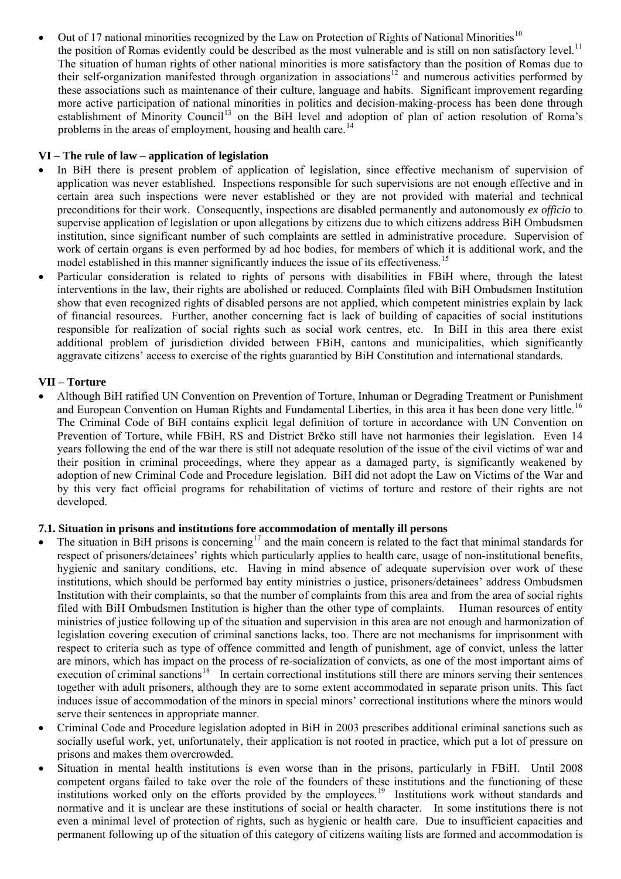Out of 17 national minorities recognized by the Law on Protection of Rights of National Minorities<sup>[10](#page-7-1)</sup> the position of Romas evidently could be described as the most vulnerable and is still on non satisfactory level.<sup>[11](#page-7-1)</sup> The situation of human rights of other national minorities is more satisfactory than the position of Romas due to their self-organization manifested through organization in associations[12](#page-7-1) and numerous activities performed by these associations such as maintenance of their culture, language and habits. Significant improvement regarding more active participation of national minorities in politics and decision-making-process has been done through establishment of Minority Council<sup>[13](#page-7-1)</sup> on the BiH level and adoption of plan of action resolution of Roma's problems in the areas of employment, housing and health care.<sup>[14](#page-7-1)</sup>

# **VI – The rule of law – application of legislation**

- In BiH there is present problem of application of legislation, since effective mechanism of supervision of application was never established. Inspections responsible for such supervisions are not enough effective and in certain area such inspections were never established or they are not provided with material and technical preconditions for their work. Consequently, inspections are disabled permanently and autonomously *ex officio* to supervise application of legislation or upon allegations by citizens due to which citizens address BiH Ombudsmen institution, since significant number of such complaints are settled in administrative procedure. Supervision of work of certain organs is even performed by ad hoc bodies, for members of which it is additional work, and the model established in this manner significantly induces the issue of its effectiveness.<sup>[15](#page-7-1)</sup>
- Particular consideration is related to rights of persons with disabilities in FBiH where, through the latest interventions in the law, their rights are abolished or reduced. Complaints filed with BiH Ombudsmen Institution show that even recognized rights of disabled persons are not applied, which competent ministries explain by lack of financial resources. Further, another concerning fact is lack of building of capacities of social institutions responsible for realization of social rights such as social work centres, etc. In BiH in this area there exist additional problem of jurisdiction divided between FBiH, cantons and municipalities, which significantly aggravate citizens' access to exercise of the rights guarantied by BiH Constitution and international standards.

# **VII – Torture**

• Although BiH ratified UN Convention on Prevention of Torture, Inhuman or Degrading Treatment or Punishment and European Convention on Human Rights and Fundamental Liberties, in this area it has been done very little.<sup>[16](#page-7-1)</sup> The Criminal Code of BiH contains explicit legal definition of torture in accordance with UN Convention on Prevention of Torture, while FBiH, RS and District Brčko still have not harmonies their legislation. Even 14 years following the end of the war there is still not adequate resolution of the issue of the civil victims of war and their position in criminal proceedings, where they appear as a damaged party, is significantly weakened by adoption of new Criminal Code and Procedure legislation. BiH did not adopt the Law on Victims of the War and by this very fact official programs for rehabilitation of victims of torture and restore of their rights are not developed.

# **7.1. Situation in prisons and institutions fore accommodation of mentally ill persons**

- The situation in BiH prisons is concerning<sup>[17](#page-7-1)</sup> and the main concern is related to the fact that minimal standards for respect of prisoners/detainees' rights which particularly applies to health care, usage of non-institutional benefits, hygienic and sanitary conditions, etc. Having in mind absence of adequate supervision over work of these institutions, which should be performed bay entity ministries o justice, prisoners/detainees' address Ombudsmen Institution with their complaints, so that the number of complaints from this area and from the area of social rights filed with BiH Ombudsmen Institution is higher than the other type of complaints. Human resources of entity ministries of justice following up of the situation and supervision in this area are not enough and harmonization of legislation covering execution of criminal sanctions lacks, too. There are not mechanisms for imprisonment with respect to criteria such as type of offence committed and length of punishment, age of convict, unless the latter are minors, which has impact on the process of re-socialization of convicts, as one of the most important aims of execution of criminal sanctions<sup>[18](#page-7-1)</sup> In certain correctional institutions still there are minors serving their sentences together with adult prisoners, although they are to some extent accommodated in separate prison units. This fact induces issue of accommodation of the minors in special minors' correctional institutions where the minors would serve their sentences in appropriate manner.
- Criminal Code and Procedure legislation adopted in BiH in 2003 prescribes additional criminal sanctions such as socially useful work, yet, unfortunately, their application is not rooted in practice, which put a lot of pressure on prisons and makes them overcrowded.
- Situation in mental health institutions is even worse than in the prisons, particularly in FBiH. Until 2008 competent organs failed to take over the role of the founders of these institutions and the functioning of these institutions worked only on the efforts provided by the employees.<sup>[19](#page-7-1)</sup> Institutions work without standards and normative and it is unclear are these institutions of social or health character. In some institutions there is not even a minimal level of protection of rights, such as hygienic or health care. Due to insufficient capacities and permanent following up of the situation of this category of citizens waiting lists are formed and accommodation is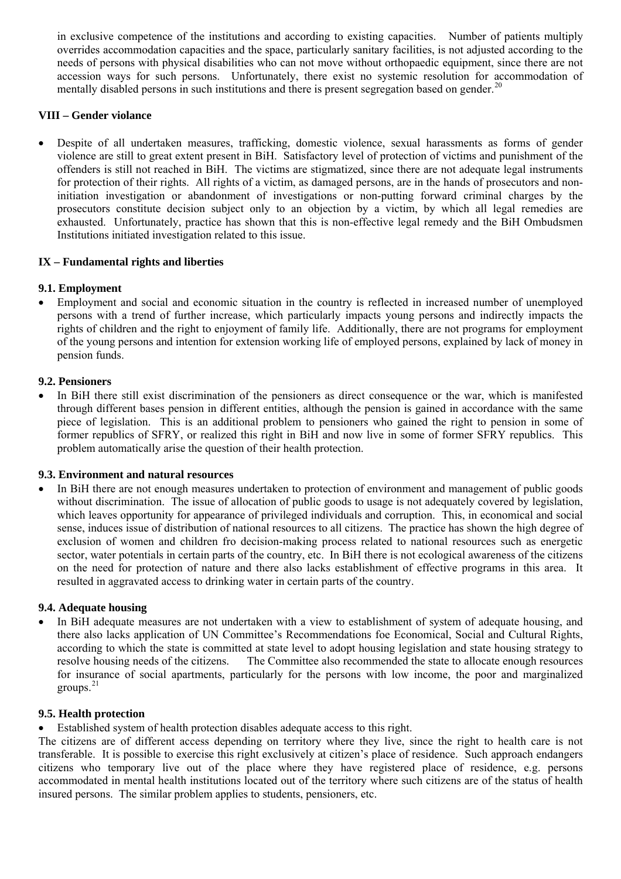in exclusive competence of the institutions and according to existing capacities. Number of patients multiply overrides accommodation capacities and the space, particularly sanitary facilities, is not adjusted according to the needs of persons with physical disabilities who can not move without orthopaedic equipment, since there are not accession ways for such persons. Unfortunately, there exist no systemic resolution for accommodation of mentally disabled persons in such institutions and there is present segregation based on gender.<sup>[20](#page-7-1)</sup>

## **VIII – Gender violance**

• Despite of all undertaken measures, trafficking, domestic violence, sexual harassments as forms of gender violence are still to great extent present in BiH. Satisfactory level of protection of victims and punishment of the offenders is still not reached in BiH. The victims are stigmatized, since there are not adequate legal instruments for protection of their rights. All rights of a victim, as damaged persons, are in the hands of prosecutors and noninitiation investigation or abandonment of investigations or non-putting forward criminal charges by the prosecutors constitute decision subject only to an objection by a victim, by which all legal remedies are exhausted. Unfortunately, practice has shown that this is non-effective legal remedy and the BiH Ombudsmen Institutions initiated investigation related to this issue.

# **IX – Fundamental rights and liberties**

#### **9.1. Employment**

• Employment and social and economic situation in the country is reflected in increased number of unemployed persons with a trend of further increase, which particularly impacts young persons and indirectly impacts the rights of children and the right to enjoyment of family life. Additionally, there are not programs for employment of the young persons and intention for extension working life of employed persons, explained by lack of money in pension funds.

#### **9.2. Pensioners**

In BiH there still exist discrimination of the pensioners as direct consequence or the war, which is manifested through different bases pension in different entities, although the pension is gained in accordance with the same piece of legislation. This is an additional problem to pensioners who gained the right to pension in some of former republics of SFRY, or realized this right in BiH and now live in some of former SFRY republics. This problem automatically arise the question of their health protection.

#### **9.3. Environment and natural resources**

In BiH there are not enough measures undertaken to protection of environment and management of public goods without discrimination. The issue of allocation of public goods to usage is not adequately covered by legislation, which leaves opportunity for appearance of privileged individuals and corruption. This, in economical and social sense, induces issue of distribution of national resources to all citizens. The practice has shown the high degree of exclusion of women and children fro decision-making process related to national resources such as energetic sector, water potentials in certain parts of the country, etc. In BiH there is not ecological awareness of the citizens on the need for protection of nature and there also lacks establishment of effective programs in this area. It resulted in aggravated access to drinking water in certain parts of the country.

#### **9.4. Adequate housing**

In BiH adequate measures are not undertaken with a view to establishment of system of adequate housing, and there also lacks application of UN Committee's Recommendations foe Economical, Social and Cultural Rights, according to which the state is committed at state level to adopt housing legislation and state housing strategy to resolve housing needs of the citizens. The Committee also recommended the state to allocate enough resources for insurance of social apartments, particularly for the persons with low income, the poor and marginalized groups. $21$ 

#### **9.5. Health protection**

• Established system of health protection disables adequate access to this right.

The citizens are of different access depending on territory where they live, since the right to health care is not transferable. It is possible to exercise this right exclusively at citizen's place of residence. Such approach endangers citizens who temporary live out of the place where they have registered place of residence, e.g. persons accommodated in mental health institutions located out of the territory where such citizens are of the status of health insured persons. The similar problem applies to students, pensioners, etc.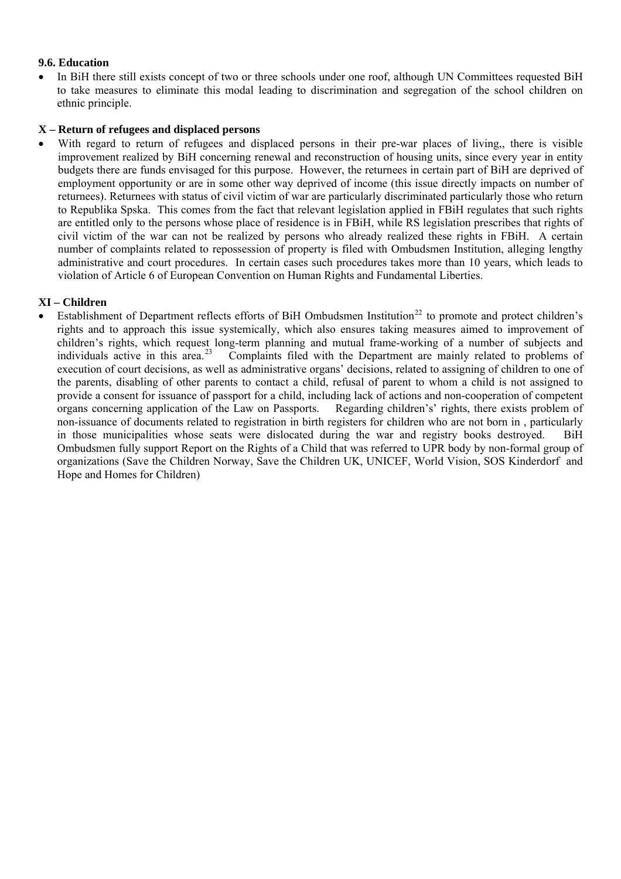#### **9.6. Education**

• In BiH there still exists concept of two or three schools under one roof, although UN Committees requested BiH to take measures to eliminate this modal leading to discrimination and segregation of the school children on ethnic principle.

#### **X – Return of refugees and displaced persons**

With regard to return of refugees and displaced persons in their pre-war places of living, there is visible improvement realized by BiH concerning renewal and reconstruction of housing units, since every year in entity budgets there are funds envisaged for this purpose. However, the returnees in certain part of BiH are deprived of employment opportunity or are in some other way deprived of income (this issue directly impacts on number of returnees). Returnees with status of civil victim of war are particularly discriminated particularly those who return to Republika Spska. This comes from the fact that relevant legislation applied in FBiH regulates that such rights are entitled only to the persons whose place of residence is in FBiH, while RS legislation prescribes that rights of civil victim of the war can not be realized by persons who already realized these rights in FBiH. A certain number of complaints related to repossession of property is filed with Ombudsmen Institution, alleging lengthy administrative and court procedures. In certain cases such procedures takes more than 10 years, which leads to violation of Article 6 of European Convention on Human Rights and Fundamental Liberties.

# **XI – Children**

Establishment of Department reflects efforts of BiH Ombudsmen Institution<sup>[22](#page-7-1)</sup> to promote and protect children's rights and to approach this issue systemically, which also ensures taking measures aimed to improvement of children's rights, which request long-term planning and mutual frame-working of a number of subjects and individuals active in this area.<sup>[23](#page-7-1)</sup> Complaints filed with the Department are mainly related to problems of execution of court decisions, as well as administrative organs' decisions, related to assigning of children to one of the parents, disabling of other parents to contact a child, refusal of parent to whom a child is not assigned to provide a consent for issuance of passport for a child, including lack of actions and non-cooperation of competent organs concerning application of the Law on Passports. Regarding children's' rights, there exists problem of non-issuance of documents related to registration in birth registers for children who are not born in , particularly in those municipalities whose seats were dislocated during the war and registry books destroyed. BiH Ombudsmen fully support Report on the Rights of a Child that was referred to UPR body by non-formal group of organizations (Save the Children Norway, Save the Children UK, UNICEF, World Vision, SOS Kinderdorf and Hope and Homes for Children)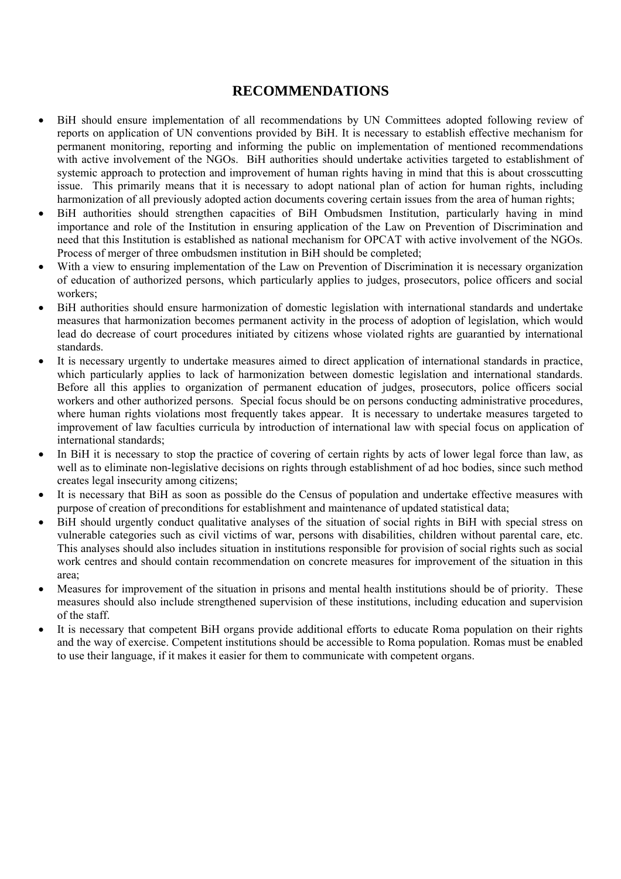# **RECOMMENDATIONS**

- BiH should ensure implementation of all recommendations by UN Committees adopted following review of reports on application of UN conventions provided by BiH. It is necessary to establish effective mechanism for permanent monitoring, reporting and informing the public on implementation of mentioned recommendations with active involvement of the NGOs. BiH authorities should undertake activities targeted to establishment of systemic approach to protection and improvement of human rights having in mind that this is about crosscutting issue. This primarily means that it is necessary to adopt national plan of action for human rights, including harmonization of all previously adopted action documents covering certain issues from the area of human rights;
- BiH authorities should strengthen capacities of BiH Ombudsmen Institution, particularly having in mind importance and role of the Institution in ensuring application of the Law on Prevention of Discrimination and need that this Institution is established as national mechanism for OPCAT with active involvement of the NGOs. Process of merger of three ombudsmen institution in BiH should be completed;
- With a view to ensuring implementation of the Law on Prevention of Discrimination it is necessary organization of education of authorized persons, which particularly applies to judges, prosecutors, police officers and social workers;
- BiH authorities should ensure harmonization of domestic legislation with international standards and undertake measures that harmonization becomes permanent activity in the process of adoption of legislation, which would lead do decrease of court procedures initiated by citizens whose violated rights are guarantied by international standards.
- It is necessary urgently to undertake measures aimed to direct application of international standards in practice, which particularly applies to lack of harmonization between domestic legislation and international standards. Before all this applies to organization of permanent education of judges, prosecutors, police officers social workers and other authorized persons. Special focus should be on persons conducting administrative procedures, where human rights violations most frequently takes appear. It is necessary to undertake measures targeted to improvement of law faculties curricula by introduction of international law with special focus on application of international standards;
- In BiH it is necessary to stop the practice of covering of certain rights by acts of lower legal force than law, as well as to eliminate non-legislative decisions on rights through establishment of ad hoc bodies, since such method creates legal insecurity among citizens;
- It is necessary that BiH as soon as possible do the Census of population and undertake effective measures with purpose of creation of preconditions for establishment and maintenance of updated statistical data;
- BiH should urgently conduct qualitative analyses of the situation of social rights in BiH with special stress on vulnerable categories such as civil victims of war, persons with disabilities, children without parental care, etc. This analyses should also includes situation in institutions responsible for provision of social rights such as social work centres and should contain recommendation on concrete measures for improvement of the situation in this area;
- Measures for improvement of the situation in prisons and mental health institutions should be of priority. These measures should also include strengthened supervision of these institutions, including education and supervision of the staff.
- It is necessary that competent BiH organs provide additional efforts to educate Roma population on their rights and the way of exercise. Competent institutions should be accessible to Roma population. Romas must be enabled to use their language, if it makes it easier for them to communicate with competent organs.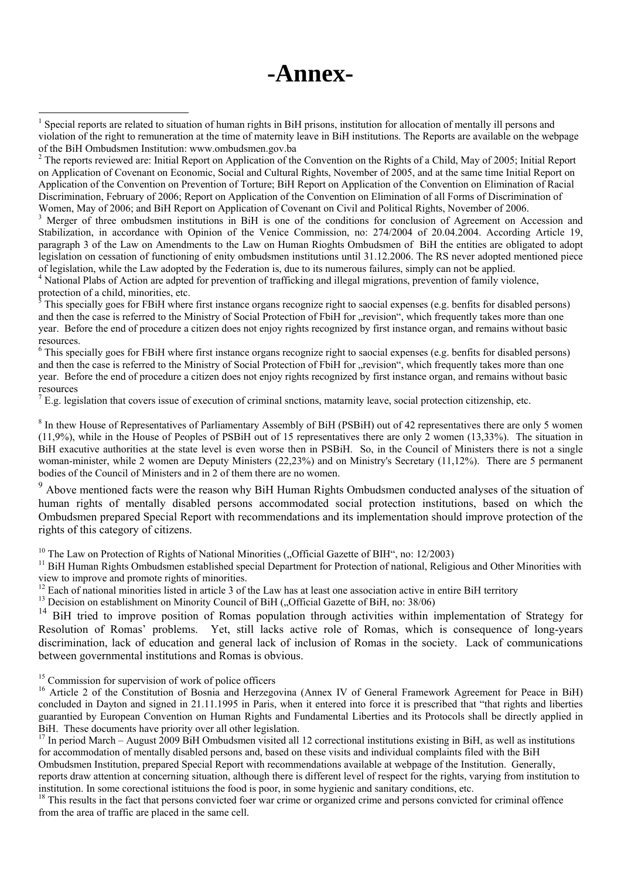# **-Annex-**

<sup>3</sup> Merger of three ombudsmen institutions in BiH is one of the conditions for conclusion of Agreement on Accession and Stabilization, in accordance with Opinion of the Venice Commission, no: 274/2004 of 20.04.2004. According Article 19, paragraph 3 of the Law on Amendments to the Law on Human Rioghts Ombudsmen of BiH the entities are obligated to adopt legislation on cessation of functioning of enity ombudsmen institutions until 31.12.2006. The RS never adopted mentioned piece of legislation, while the Law adopted by the Federation is, due to its numerous failures, simply can not be applied.

<sup>4</sup> National Plabs of Action are adpted for prevention of trafficking and illegal migrations, prevention of family violence, protection of a child, minorities, etc.

5 This specially goes for FBiH where first instance organs recognize right to saocial expenses (e.g. benfits for disabled persons) and then the case is referred to the Ministry of Social Protection of FbiH for "revision", which frequently takes more than one year. Before the end of procedure a citizen does not enjoy rights recognized by first instance organ, and remains without basic resources.

<sup>6</sup> This specially goes for FBiH where first instance organs recognize right to saocial expenses (e.g. benfits for disabled persons) and then the case is referred to the Ministry of Social Protection of FbiH for "revision", which frequently takes more than one year. Before the end of procedure a citizen does not enjoy rights recognized by first instance organ, and remains without basic resources

 $<sup>7</sup>$  E.g. legislation that covers issue of execution of criminal snctions, matarnity leave, social protection citizenship, etc.</sup>

 $8$  In thew House of Representatives of Parliamentary Assembly of BiH (PSBiH) out of 42 representatives there are only 5 women (11,9%), while in the House of Peoples of PSBiH out of 15 representatives there are only 2 women (13,33%). The situation in BiH exacutive authorities at the state level is even worse then in PSBiH. So, in the Council of Ministers there is not a single woman-minister, while 2 women are Deputy Ministers (22,23%) and on Ministry's Secretary (11,12%). There are 5 permanent bodies of the Council of Ministers and in 2 of them there are no women.

<sup>9</sup> Above mentioned facts were the reason why BiH Human Rights Ombudsmen conducted analyses of the situation of human rights of mentally disabled persons accommodated social protection institutions, based on which the Ombudsmen prepared Special Report with recommendations and its implementation should improve protection of the rights of this category of citizens.

<sup>10</sup> The Law on Protection of Rights of National Minorities ("Official Gazette of BIH", no: 12/2003) <sup>11</sup> BiH Human Rights Ombudsmen established special Department for Protection of national, Religious and Other Minoritie view to improve and promote rights of minorities.

<sup>12</sup> Each of national minorities listed in article 3 of the Law has at least one association active in entire BiH territory <sup>13</sup> Decision on establishment on Minority Council of BiH ("Official Gazette of BiH, no: 38/06)

<sup>14</sup> BiH tried to improve position of Romas population through activities within implementation of Strategy for Resolution of Romas' problems. Yet, still lacks active role of Romas, which is consequence of long-years discrimination, lack of education and general lack of inclusion of Romas in the society. Lack of communications between governmental institutions and Romas is obvious.

<sup>15</sup> Commission for supervision of work of police officers

 $\overline{a}$ 

<sup>16</sup> Article 2 of the Constitution of Bosnia and Herzegovina (Annex IV of General Framework Agreement for Peace in BiH) concluded in Dayton and signed in 21.11.1995 in Paris, when it entered into force it is prescribed that "that rights and liberties guarantied by European Convention on Human Rights and Fundamental Liberties and its Protocols shall be directly applied in BiH. These documents have priority over all other legislation.

 $17$  In period March – August 2009 BiH Ombudsmen visited all 12 correctional institutions existing in BiH, as well as institutions for accommodation of mentally disabled persons and, based on these visits and individual complaints filed with the BiH Ombudsmen Institution, prepared Special Report with recommendations available at webpage of the Institution. Generally,

reports draw attention at concerning situation, although there is different level of respect for the rights, varying from institution to institution. In some corectional istituions the food is poor, in some hygienic and sanitary conditions, etc.<br><sup>18</sup> This results in the fact that persons convicted foer war crime or organized crime and persons convicted for

from the area of traffic are placed in the same cell.

<sup>1</sup> Special reports are related to situation of human rights in BiH prisons, institution for allocation of mentally ill persons and violation of the right to remuneration at the time of maternity leave in BiH institutions. The Reports are available on the webpage of the BiH Ombudsmen Institution: www.ombudsmen.gov.ba

 $2^2$  The reports reviewed are: Initial Report on Application of the Convention on the Rights of a Child, May of 2005; Initial Report on Application of Covenant on Economic, Social and Cultural Rights, November of 2005, and at the same time Initial Report on Application of the Convention on Prevention of Torture; BiH Report on Application of the Convention on Elimination of Racial Discrimination, February of 2006; Report on Application of the Convention on Elimination of all Forms of Discrimination of Women, May of 2006; and BiH Report on Application of Covenant on Civil and Political Rights, November of 2006.